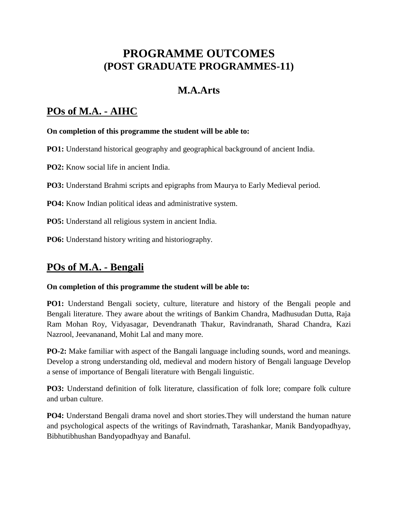# **PROGRAMME OUTCOMES (POST GRADUATE PROGRAMMES-11)**

## **M.A.Arts**

## **POs of M.A. - AIHC**

#### **On completion of this programme the student will be able to:**

**PO1:** Understand historical geography and geographical background of ancient India.

**PO2:** Know social life in ancient India.

**PO3:** Understand Brahmi scripts and epigraphs from Maurya to Early Medieval period.

**PO4:** Know Indian political ideas and administrative system.

**PO5:** Understand all religious system in ancient India.

**PO6:** Understand history writing and historiography.

## **POs of M.A. - Bengali**

#### **On completion of this programme the student will be able to:**

**PO1:** Understand Bengali society, culture, literature and history of the Bengali people and Bengali literature. They aware about the writings of Bankim Chandra, Madhusudan Dutta, Raja Ram Mohan Roy, Vidyasagar, Devendranath Thakur, Ravindranath, Sharad Chandra, Kazi Nazrool, Jeevananand, Mohit Lal and many more.

**PO-2:** Make familiar with aspect of the Bangali language including sounds, word and meanings. Develop a strong understanding old, medieval and modern history of Bengali language Develop a sense of importance of Bengali literature with Bengali linguistic.

**PO3:** Understand definition of folk literature, classification of folk lore; compare folk culture and urban culture.

**PO4:** Understand Bengali drama novel and short stories.They will understand the human nature and psychological aspects of the writings of Ravindrnath, Tarashankar, Manik Bandyopadhyay, Bibhutibhushan Bandyopadhyay and Banaful.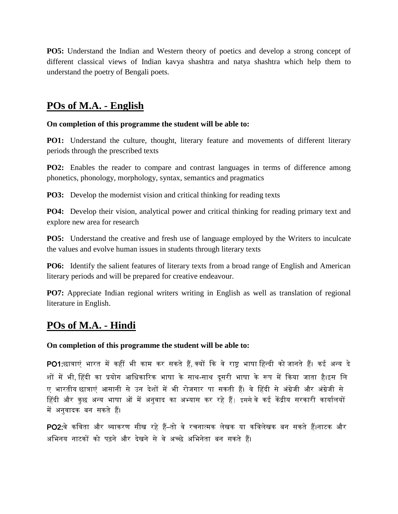**PO5:** Understand the Indian and Western theory of poetics and develop a strong concept of different classical views of Indian kavya shashtra and natya shashtra which help them to understand the poetry of Bengali poets.

### **POs of M.A. - English**

#### **On completion of this programme the student will be able to:**

**PO1:** Understand the culture, thought, literary feature and movements of different literary periods through the prescribed texts

**PO2:** Enables the reader to compare and contrast languages in terms of difference among phonetics, phonology, morphology, syntax, semantics and pragmatics

**PO3:** Develop the modernist vision and critical thinking for reading texts

**PO4:** Develop their vision, analytical power and critical thinking for reading primary text and explore new area for research

**PO5:** Understand the creative and fresh use of language employed by the Writers to inculcate the values and evolve human issues in students through literary texts

**PO6:** Identify the salient features of literary texts from a broad range of English and American literary periods and will be prepared for creative endeavour.

**PO7:** Appreciate Indian regional writers writing in English as well as translation of regional literature in English.

### **POs of M.A. - Hindi**

**On completion of this programme the student will be able to:**

PO1:छात्राएं भारत में कहीं भी काम कर सकते हैं, क्यों कि वे राष्ट्र भाषा हिन्दी को जानते हैं। कई अन्य दे शों में भी, हिंदी का प्रयोग आधिकारिक भाषा के साथ-साथ दूसरी भाषा के रूप में किया जाता है।इस लि ए भारतीय छात्राएं आसानी से उन देशों मेंभी रोजगार पा सकती हैं। वेहहदी से अंग्रेजी और अंग्रेजी से हिंदी और कुछ अन्य भाषा ओं में अनुवाद का अभ्यास कर रहे हैं। इससे वे कई केंद्रीय सरकारी कार्यालयों मेंअनुवादक बन सकते हैं।

PO2:वे कविता और व्याकरण सीख रहे हैं–तो वे रचनात्मक लेखक या कविलेखक बन सकते हैं।नाटक और अहभनय नाटकों को पढ़ने और देखने से वे अच्छे अहभनेता बन सकते हैं।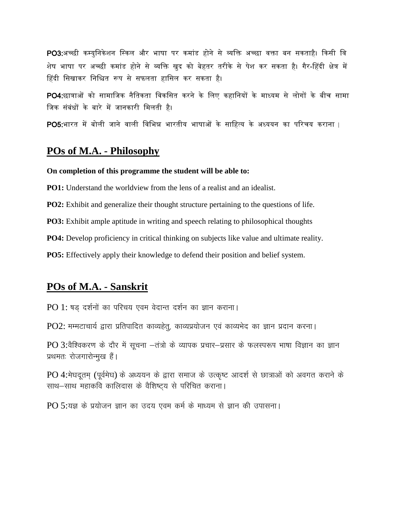PO3:अच्छी कम्युनिकेशन स्किल और भाषा पर कमांड होने से व्यक्ति अच्छा वक्ता बन सकताहै। किसी वि शेष भाषा पर अच्छी कमांड होने से व्यहि खुद को बेहतर तरीके से पेश कर सकता है। गैर-हहदी क्षेत्र में हिंदी सिखाकर निश्चित रूप से सफलता हासिल कर सकता है।

PO4:छात्राओं को सामाजिक नैतिकता विकसित करने के लिए कहानियों के माध्यम से लोगों के बीच सामा जिक संबंधों के बारे में जानकारी मिलती है।

PO5:भारत में बोली जाने वाली विभिन्न भारतीय भाषाओं के साहित्य के अध्ययन का परिचय कराना |

### **POs of M.A. - Philosophy**

#### **On completion of this programme the student will be able to:**

**PO1:** Understand the worldview from the lens of a realist and an idealist.

**PO2:** Exhibit and generalize their thought structure pertaining to the questions of life.

**PO3:** Exhibit ample aptitude in writing and speech relating to philosophical thoughts

**PO4:** Develop proficiency in critical thinking on subjects like value and ultimate reality.

**PO5:** Effectively apply their knowledge to defend their position and belief system.

### **POs of M.A. - Sanskrit**

 $PO 1$ : षड़ दर्शनों का परिचय एवम वेदान्त दर्शन का ज्ञान कराना।

 $PO2$ : मम्मटाचार्य द्वारा प्रतिपादित काव्यहेत्, काव्यप्रयोजन एवं काव्यभेद का ज्ञान प्रदान करना।

 $PO$  3:वैश्विकरण के दौर में सूचना -तंत्रो के व्यापक प्रचार-प्रसार के फलस्परूप भाषा विज्ञान का ज्ञान प्रथमतः रोजगारोन्मुख हैं।

PO 4: मेघदूतम (पूर्वमेघ) के अध्ययन के द्वारा समाज के उत्कृष्ट आदर्श से छात्राओं को अवगत कराने के साथ-साथ महाकवि कालिदास के वैशिष्ट्य से परिचित कराना।

PO 5:यज्ञ के प्रयोजन ज्ञान का उदय एवम कर्म के माध्यम से ज्ञान की उपासना।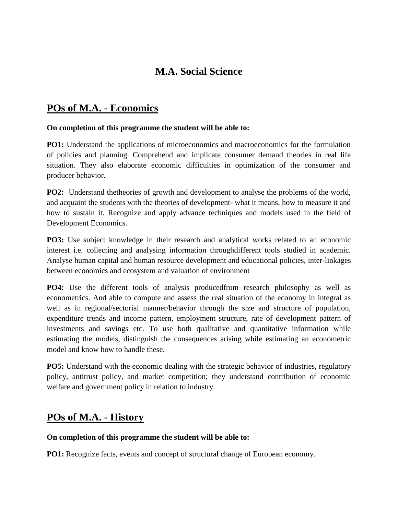## **M.A. Social Science**

### **POs of M.A. - Economics**

#### **On completion of this programme the student will be able to:**

**PO1:** Understand the applications of microeconomics and macroeconomics for the formulation of policies and planning. Comprehend and implicate consumer demand theories in real life situation. They also elaborate economic difficulties in optimization of the consumer and producer behavior.

**PO2:** Understand thetheories of growth and development to analyse the problems of the world, and acquaint the students with the theories of development- what it means, how to measure it and how to sustain it. Recognize and apply advance techniques and models used in the field of Development Economics.

**PO3:** Use subject knowledge in their research and analytical works related to an economic interest i.e. collecting and analysing information throughdifferent tools studied in academic. Analyse human capital and human resource development and educational policies, inter-linkages between economics and ecosystem and valuation of environment

**PO4:** Use the different tools of analysis produced from research philosophy as well as econometrics. And able to compute and assess the real situation of the economy in integral as well as in regional/sectorial manner/behavior through the size and structure of population, expenditure trends and income pattern, employment structure, rate of development pattern of investments and savings etc. To use both qualitative and quantitative information while estimating the models, distinguish the consequences arising while estimating an econometric model and know how to handle these.

**PO5:** Understand with the economic dealing with the strategic behavior of industries, regulatory policy, antitrust policy, and market competition; they understand contribution of economic welfare and government policy in relation to industry.

### **POs of M.A. - History**

#### **On completion of this programme the student will be able to:**

**PO1:** Recognize facts, events and concept of structural change of European economy.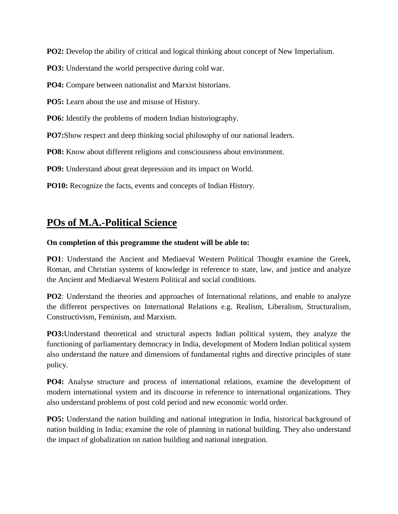**PO2:** Develop the ability of critical and logical thinking about concept of New Imperialism.

**PO3:** Understand the world perspective during cold war.

**PO4:** Compare between nationalist and Marxist historians.

**PO5:** Learn about the use and misuse of History.

**PO6:** Identify the problems of modern Indian historiography.

**PO7:**Show respect and deep thinking social philosophy of our national leaders.

**PO8:** Know about different religions and consciousness about environment.

**PO9:** Understand about great depression and its impact on World.

**PO10:** Recognize the facts, events and concepts of Indian History.

## **POs of M.A.-Political Science**

#### **On completion of this programme the student will be able to:**

**PO1**: Understand the Ancient and Mediaeval Western Political Thought examine the Greek, Roman, and Christian systems of knowledge in reference to state, law, and justice and analyze the Ancient and Mediaeval Western Political and social conditions.

**PO2**: Understand the theories and approaches of International relations, and enable to analyze the different perspectives on International Relations e.g. Realism, Liberalism, Structuralism, Constructivism, Feminism, and Marxism.

**PO3:**Understand theoretical and structural aspects Indian political system, they analyze the functioning of parliamentary democracy in India, development of Modern Indian political system also understand the nature and dimensions of fundamental rights and directive principles of state policy.

**PO4:** Analyse structure and process of international relations, examine the development of modern international system and its discourse in reference to international organizations. They also understand problems of post cold period and new economic world order.

**PO5:** Understand the nation building and national integration in India, historical background of nation building in India; examine the role of planning in national building. They also understand the impact of globalization on nation building and national integration.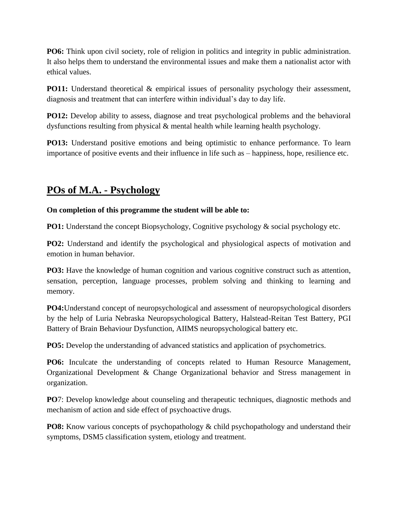**PO6:** Think upon civil society, role of religion in politics and integrity in public administration. It also helps them to understand the environmental issues and make them a nationalist actor with ethical values.

**PO11:** Understand theoretical & empirical issues of personality psychology their assessment, diagnosis and treatment that can interfere within individual's day to day life.

**PO12:** Develop ability to assess, diagnose and treat psychological problems and the behavioral dysfunctions resulting from physical & mental health while learning health psychology.

**PO13:** Understand positive emotions and being optimistic to enhance performance. To learn importance of positive events and their influence in life such as – happiness, hope, resilience etc.

## **POs of M.A. - Psychology**

#### **On completion of this programme the student will be able to:**

**PO1:** Understand the concept Biopsychology, Cognitive psychology & social psychology etc.

**PO2:** Understand and identify the psychological and physiological aspects of motivation and emotion in human behavior.

**PO3:** Have the knowledge of human cognition and various cognitive construct such as attention, sensation, perception, language processes, problem solving and thinking to learning and memory.

**PO4:**Understand concept of neuropsychological and assessment of neuropsychological disorders by the help of Luria Nebraska Neuropsychological Battery, Halstead-Reitan Test Battery, PGI Battery of Brain Behaviour Dysfunction, AIIMS neuropsychological battery etc.

**PO5:** Develop the understanding of advanced statistics and application of psychometrics.

**PO6:** Inculcate the understanding of concepts related to Human Resource Management, Organizational Development & Change Organizational behavior and Stress management in organization.

**PO**7: Develop knowledge about counseling and therapeutic techniques, diagnostic methods and mechanism of action and side effect of psychoactive drugs.

**PO8:** Know various concepts of psychopathology & child psychopathology and understand their symptoms, DSM5 classification system, etiology and treatment.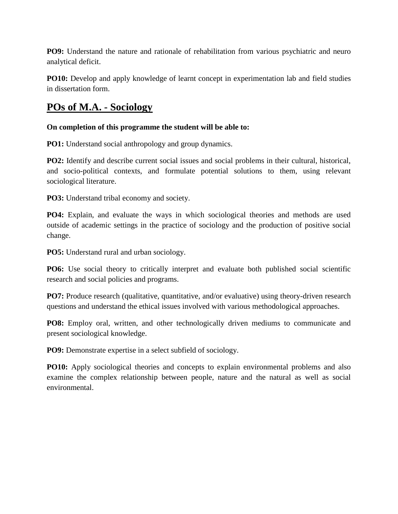**PO9:** Understand the nature and rationale of rehabilitation from various psychiatric and neuro analytical deficit.

**PO10:** Develop and apply knowledge of learnt concept in experimentation lab and field studies in dissertation form.

## **POs of M.A. - Sociology**

#### **On completion of this programme the student will be able to:**

**PO1:** Understand social anthropology and group dynamics.

**PO2:** Identify and describe current social issues and social problems in their cultural, historical, and socio-political contexts, and formulate potential solutions to them, using relevant sociological literature.

**PO3:** Understand tribal economy and society.

**PO4:** Explain, and evaluate the ways in which sociological theories and methods are used outside of academic settings in the practice of sociology and the production of positive social change.

**PO5:** Understand rural and urban sociology.

**PO6:** Use social theory to critically interpret and evaluate both published social scientific research and social policies and programs.

**PO7:** Produce research (qualitative, quantitative, and/or evaluative) using theory-driven research questions and understand the ethical issues involved with various methodological approaches.

**PO8:** Employ oral, written, and other technologically driven mediums to communicate and present sociological knowledge.

**PO9:** Demonstrate expertise in a select subfield of sociology.

**PO10:** Apply sociological theories and concepts to explain environmental problems and also examine the complex relationship between people, nature and the natural as well as social environmental.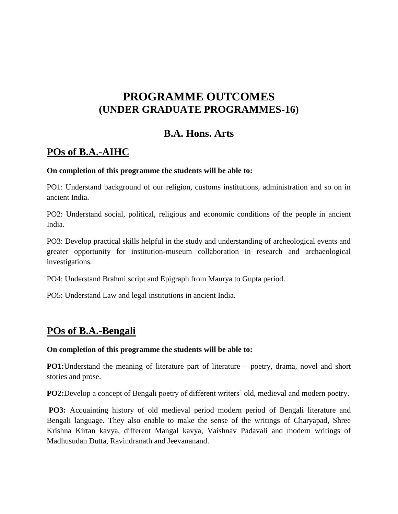# **PROGRAMME OUTCOMES (UNDER GRADUATE PROGRAMMES-16)**

### **B.A. Hons. Arts**

# **POs of B.A.-AIHC**

#### **On completion of this programme the students will be able to:**

PO1: Understand background of our religion, customs institutions, administration and so on in ancient India.

PO2: Understand social, political, religious and economic conditions of the people in ancient India.

PO3: Develop practical skills helpful in the study and understanding of archeological events and greater opportunity for institution-museum collaboration in research and archaeological investigations.

PO4: Understand Brahmi script and Epigraph from Maurya to Gupta period.

PO5: Understand Law and legal institutions in ancient India.

### **POs of B.A.-Bengali**

#### **On completion of this programme the students will be able to:**

**PO1:**Understand the meaning of literature part of literature – poetry, drama, novel and short stories and prose.

**PO2:**Develop a concept of Bengali poetry of different writers' old, medieval and modern poetry.

**PO3:** Acquainting history of old medieval period modern period of Bengali literature and Bengali language. They also enable to make the sense of the writings of Charyapad, Shree Krishna Kirtan kavya, different Mangal kavya, Vaishnav Padavali and modern writings of Madhusudan Dutta, Ravindranath and Jeevananand.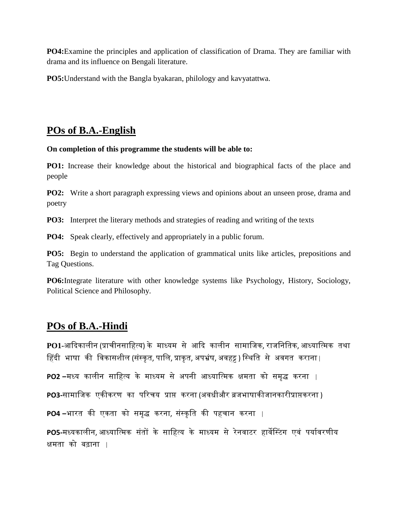**PO4:**Examine the principles and application of classification of Drama. They are familiar with drama and its influence on Bengali literature.

**PO5:**Understand with the Bangla byakaran, philology and kavyatattwa.

## **POs of B.A.-English**

#### **On completion of this programme the students will be able to:**

**PO1:** Increase their knowledge about the historical and biographical facts of the place and people

**PO2:** Write a short paragraph expressing views and opinions about an unseen prose, drama and poetry

**PO3:** Interpret the literary methods and strategies of reading and writing of the texts

**PO4:** Speak clearly, effectively and appropriately in a public forum.

**PO5:** Begin to understand the application of grammatical units like articles, prepositions and Tag Questions.

**PO6:**Integrate literature with other knowledge systems like Psychology, History, Sociology, Political Science and Philosophy.

### **POs of B.A.-Hindi**

**PO1-**आकदकािीन (प्राचीनसाहहत्य) के माध्यम से आकद कािीन सामाहजक, राजहनहतक, आध्याहत्मक तथा हिंदी भाषा की विकासशील (संस्कृत, पालि, प्राकृत, अपभ्रंष, अवहट्ट ) स्थिति से अवगत कराना |

**PO2 –**मध्य कािीन साहहत्य के माध्यम से अपनी आध्याहत्मक क्षमता को समृद्ध करना |

**PO3-**सामाहजक एकीकरण का पररचय प्राप्त करना (अवधीऔर ब्रजभाषाकीजानकारीप्राप्तकरना )

**PO4 –**भारत की एकता को समृद्ध करना, संस्कृति की पहचान करना |

PO5-मध्यकालीन, आध्यात्मिक संतों के साहित्य के माध्यम से रेनवाटर हार्वेस्टिंग एवं पर्यावरणीय क्षमता को बढ़ाना |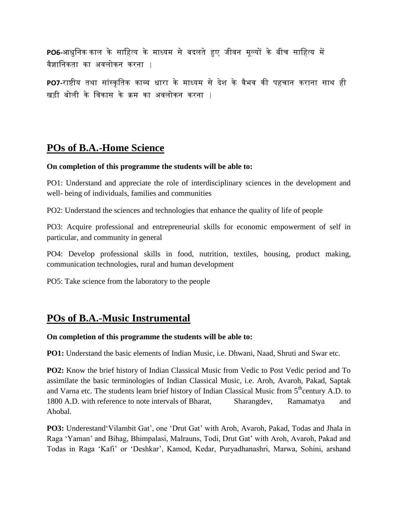**PO6-**आधुहनक काि के साहहत्य के माध्यम से बदिते हुए जीवन मूल्यों के बीच साहहत्य में वैज्ञाहनकता का अविोकन करना |

PO7-राष्टीय तथा सांस्कृतिक काव्य धारा के माध्यम से देश के वैभव की पहचान कराना साथ ही खड़ी बोिी के हवकास के क्रम का अविोकन करना |

### **POs of B.A.-Home Science**

#### **On completion of this programme the students will be able to:**

PO1: Understand and appreciate the role of interdisciplinary sciences in the development and well- being of individuals, families and communities

PO2: Understand the sciences and technologies that enhance the quality of life of people

PO3: Acquire professional and entrepreneurial skills for economic empowerment of self in particular, and community in general

PO4: Develop professional skills in food, nutrition, textiles, housing, product making, communication technologies, rural and human development

PO5: Take science from the laboratory to the people

## **POs of B.A.-Music Instrumental**

#### **On completion of this programme the students will be able to:**

**PO1:** Understand the basic elements of Indian Music, i.e. Dhwani, Naad, Shruti and Swar etc.

**PO2:** Know the brief history of Indian Classical Music from Vedic to Post Vedic period and To assimilate the basic terminologies of Indian Classical Music, i.e. Aroh, Avaroh, Pakad, Saptak and Varna etc. The students learn brief history of Indian Classical Music from  $5<sup>th</sup>$ century A.D. to 1800 A.D. with reference to note intervals of Bharat, Sharangdev, Ramamatya and Ahobal.

PO3: Underestand 'Vilambit Gat', one 'Drut Gat' with Aroh, Avaroh, Pakad, Todas and Jhala in Raga 'Yaman' and Bihag, Bhimpalasi, Malrauns, Todi, Drut Gat' with Aroh, Avaroh, Pakad and Todas in Raga "Kafi" or "Deshkar", Kamod, Kedar, Puryadhanashri, Marwa, Sohini, arshand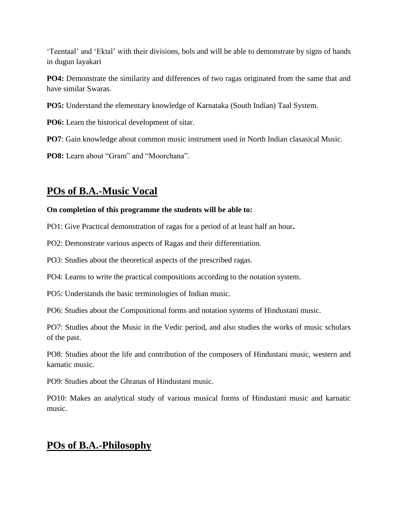"Teentaal" and "Ektal" with their divisions, bols and will be able to demonstrate by signs of hands in dugun layakari

**PO4:** Demonstrate the similarity and differences of two ragas originated from the same that and have similar Swaras.

**PO5:** Understand the elementary knowledge of Karnataka (South Indian) Taal System.

**PO6:** Learn the historical development of sitar.

**PO7**: Gain knowledge about common music instrument used in North Indian clasasical Music.

**PO8:** Learn about "Gram" and "Moorchana".

## **POs of B.A.-Music Vocal**

#### **On completion of this programme the students will be able to:**

PO1: Give Practical demonstration of ragas for a period of at least half an hour**.**

PO2: Demonstrate various aspects of Ragas and their differentiation.

PO3: Studies about the theoretical aspects of the prescribed ragas.

PO4: Learns to write the practical compositions according to the notation system.

PO5: Understands the basic terminologies of Indian music.

PO6: Studies about the Compositional forms and notation systems of Hindustani music.

PO7: Studies about the Music in the Vedic period, and also studies the works of music scholars of the past.

PO8: Studies about the life and contribution of the composers of Hindustani music, western and karnatic music.

PO9: Studies about the Ghranas of Hindustani music.

PO10: Makes an analytical study of various musical forms of Hindustani music and karnatic music.

## **POs of B.A.-Philosophy**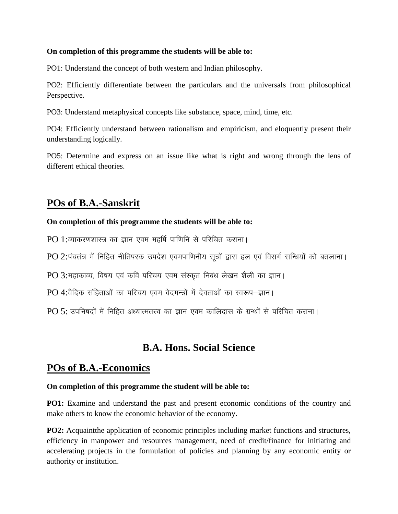#### **On completion of this programme the students will be able to:**

PO1: Understand the concept of both western and Indian philosophy.

PO2: Efficiently differentiate between the particulars and the universals from philosophical Perspective.

PO3: Understand metaphysical concepts like substance, space, mind, time, etc.

PO4: Efficiently understand between rationalism and empiricism, and eloquently present their understanding logically.

PO5: Determine and express on an issue like what is right and wrong through the lens of different ethical theories.

### **POs of B.A.-Sanskrit**

#### **On completion of this programme the students will be able to:**

 $PO$  1:व्याकरणशास्त्र का ज्ञान एवम महर्षि पाणिनि से परिचित कराना।

 $PO$  2:पंचतंत्र में निहित नीतिपरक उपदेश एवमपाणिनीय सूत्रों द्वारा हल एवं विसर्ग सन्धियों को बतलाना।

PO 3:महाकाव्य, विषय एवं कवि परिचय एवम संस्कृत निबंध लेखन शैली का ज्ञान।

PO 4:वैदिक संहिताओं का परिचय एवम वेदमन्त्रों में देवताओं का स्वरूप-ज्ञान।

 $PO 5$ : उपनिषदों में निहित अध्यात्मतत्त्व का ज्ञान एवम कालिदास के ग्रन्थों से परिचित कराना।

### **B.A. Hons. Social Science**

### **POs of B.A.-Economics**

#### **On completion of this programme the student will be able to:**

**PO1:** Examine and understand the past and present economic conditions of the country and make others to know the economic behavior of the economy.

**PO2:** Acquaint the application of economic principles including market functions and structures, efficiency in manpower and resources management, need of credit/finance for initiating and accelerating projects in the formulation of policies and planning by any economic entity or authority or institution.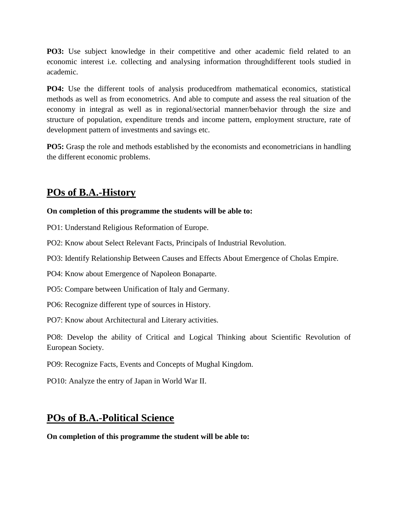**PO3:** Use subject knowledge in their competitive and other academic field related to an economic interest i.e. collecting and analysing information throughdifferent tools studied in academic.

**PO4:** Use the different tools of analysis producedfrom mathematical economics, statistical methods as well as from econometrics. And able to compute and assess the real situation of the economy in integral as well as in regional/sectorial manner/behavior through the size and structure of population, expenditure trends and income pattern, employment structure, rate of development pattern of investments and savings etc.

**PO5:** Grasp the role and methods established by the economists and econometricians in handling the different economic problems.

## **POs of B.A.-History**

#### **On completion of this programme the students will be able to:**

PO1: Understand Religious Reformation of Europe.

PO2: Know about Select Relevant Facts, Principals of Industrial Revolution.

PO3: Identify Relationship Between Causes and Effects About Emergence of Cholas Empire.

PO4: Know about Emergence of Napoleon Bonaparte.

PO5: Compare between Unification of Italy and Germany.

PO6: Recognize different type of sources in History.

PO7: Know about Architectural and Literary activities.

PO8: Develop the ability of Critical and Logical Thinking about Scientific Revolution of European Society.

PO9: Recognize Facts, Events and Concepts of Mughal Kingdom.

PO10: Analyze the entry of Japan in World War II.

## **POs of B.A.-Political Science**

**On completion of this programme the student will be able to:**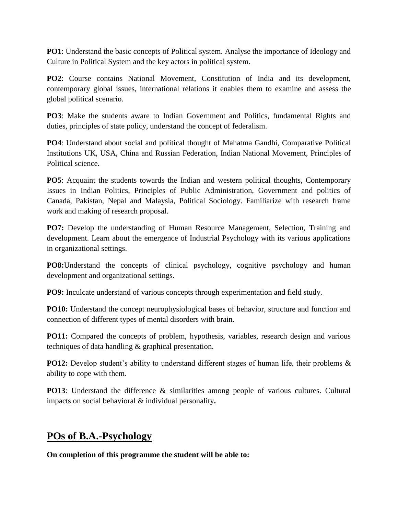**PO1**: Understand the basic concepts of Political system. Analyse the importance of Ideology and Culture in Political System and the key actors in political system.

**PO2**: Course contains National Movement, Constitution of India and its development, contemporary global issues, international relations it enables them to examine and assess the global political scenario.

**PO3**: Make the students aware to Indian Government and Politics, fundamental Rights and duties, principles of state policy, understand the concept of federalism.

**PO4**: Understand about social and political thought of Mahatma Gandhi, Comparative Political Institutions UK, USA, China and Russian Federation, Indian National Movement, Principles of Political science.

**PO5**: Acquaint the students towards the Indian and western political thoughts, Contemporary Issues in Indian Politics, Principles of Public Administration, Government and politics of Canada, Pakistan, Nepal and Malaysia, Political Sociology. Familiarize with research frame work and making of research proposal.

**PO7:** Develop the understanding of Human Resource Management, Selection, Training and development. Learn about the emergence of Industrial Psychology with its various applications in organizational settings.

**PO8:**Understand the concepts of clinical psychology, cognitive psychology and human development and organizational settings.

**PO9:** Inculcate understand of various concepts through experimentation and field study.

**PO10:** Understand the concept neurophysiological bases of behavior, structure and function and connection of different types of mental disorders with brain.

**PO11:** Compared the concepts of problem, hypothesis, variables, research design and various techniques of data handling & graphical presentation.

**PO12:** Develop student's ability to understand different stages of human life, their problems & ability to cope with them.

**PO13**: Understand the difference & similarities among people of various cultures. Cultural impacts on social behavioral & individual personality**.**

### **POs of B.A.-Psychology**

**On completion of this programme the student will be able to:**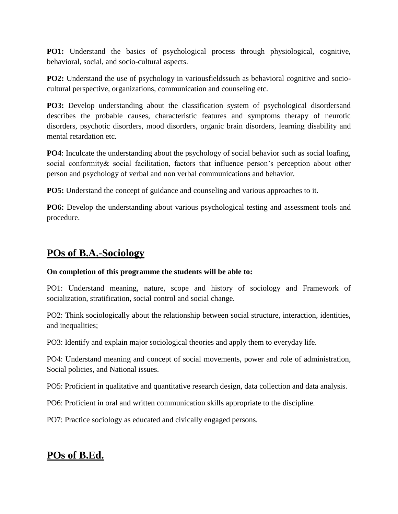**PO1:** Understand the basics of psychological process through physiological, cognitive, behavioral, social, and socio-cultural aspects.

**PO2:** Understand the use of psychology in variousfields such as behavioral cognitive and sociocultural perspective, organizations, communication and counseling etc.

**PO3:** Develop understanding about the classification system of psychological disordersand describes the probable causes, characteristic features and symptoms therapy of neurotic disorders, psychotic disorders, mood disorders, organic brain disorders, learning disability and mental retardation etc.

**PO4**: Inculcate the understanding about the psychology of social behavior such as social loafing, social conformity & social facilitation, factors that influence person's perception about other person and psychology of verbal and non verbal communications and behavior.

**PO5:** Understand the concept of guidance and counseling and various approaches to it.

**PO6:** Develop the understanding about various psychological testing and assessment tools and procedure.

## **POs of B.A.-Sociology**

#### **On completion of this programme the students will be able to:**

PO1: Understand meaning, nature, scope and history of sociology and Framework of socialization, stratification, social control and social change.

PO2: Think sociologically about the relationship between social structure, interaction, identities, and inequalities;

PO3: Identify and explain major sociological theories and apply them to everyday life.

PO4: Understand meaning and concept of social movements, power and role of administration, Social policies, and National issues.

PO5: Proficient in qualitative and quantitative research design, data collection and data analysis.

PO6: Proficient in oral and written communication skills appropriate to the discipline.

PO7: Practice sociology as educated and civically engaged persons.

## **POs of B.Ed.**